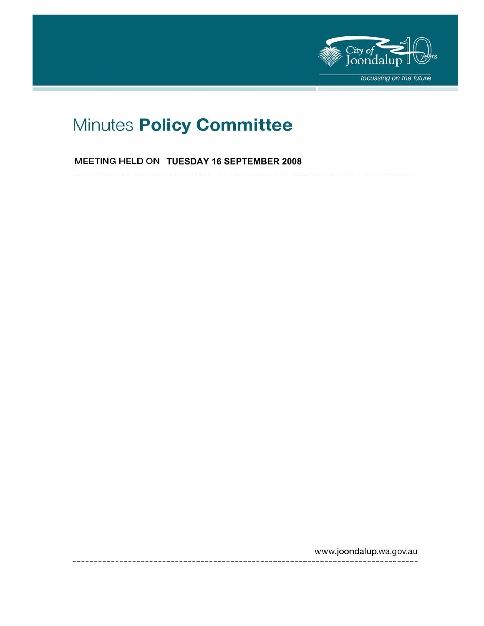

# Minutes Policy Committee

# **MEETING HELD ON TUESDAY 16 SEPTEMBER 2008**

----------------------

www.joondalup.wa.gov.au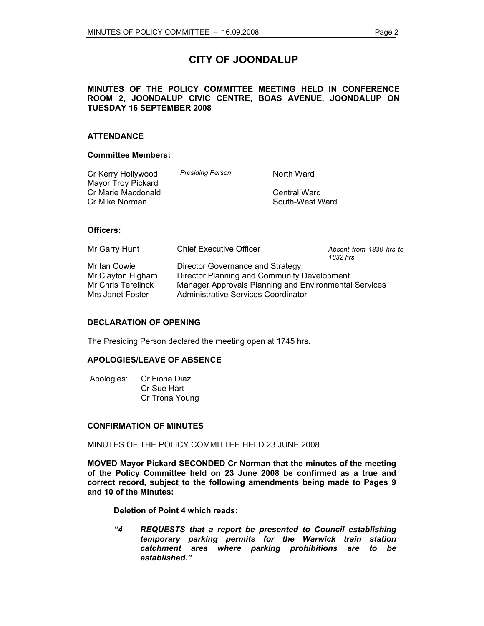# **CITY OF JOONDALUP**

# **MINUTES OF THE POLICY COMMITTEE MEETING HELD IN CONFERENCE ROOM 2, JOONDALUP CIVIC CENTRE, BOAS AVENUE, JOONDALUP ON TUESDAY 16 SEPTEMBER 2008**

# **ATTENDANCE**

#### **Committee Members:**

| <b>Presiding Person</b> | North Ward      |
|-------------------------|-----------------|
|                         |                 |
|                         | Central Ward    |
|                         | South-West Ward |
|                         |                 |

# **Officers:**

| Mr Garry Hunt      | <b>Chief Executive Officer</b>                        | Absent from 1830 hrs to<br>1832 hrs. |
|--------------------|-------------------------------------------------------|--------------------------------------|
| Mr Ian Cowie       | Director Governance and Strategy                      |                                      |
| Mr Clayton Higham  | Director Planning and Community Development           |                                      |
| Mr Chris Terelinck | Manager Approvals Planning and Environmental Services |                                      |
| Mrs Janet Foster   | Administrative Services Coordinator                   |                                      |

## **DECLARATION OF OPENING**

The Presiding Person declared the meeting open at 1745 hrs.

#### **APOLOGIES/LEAVE OF ABSENCE**

 Apologies: Cr Fiona Diaz Cr Sue Hart Cr Trona Young

#### **CONFIRMATION OF MINUTES**

#### MINUTES OF THE POLICY COMMITTEE HELD 23 JUNE 2008

**MOVED Mayor Pickard SECONDED Cr Norman that the minutes of the meeting of the Policy Committee held on 23 June 2008 be confirmed as a true and correct record, subject to the following amendments being made to Pages 9 and 10 of the Minutes:** 

**Deletion of Point 4 which reads:** 

*"4 REQUESTS that a report be presented to Council establishing temporary parking permits for the Warwick train station catchment area where parking prohibitions are to be established."*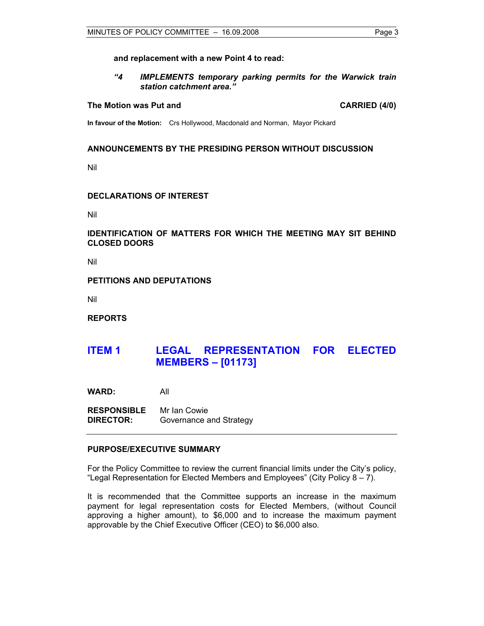#### **and replacement with a new Point 4 to read:**

*"4 IMPLEMENTS temporary parking permits for the Warwick train station catchment area."* 

#### **The Motion was Put and CARRIED (4/0) CARRIED (4/0)**

**In favour of the Motion:** Crs Hollywood, Macdonald and Norman, Mayor Pickard

#### **ANNOUNCEMENTS BY THE PRESIDING PERSON WITHOUT DISCUSSION**

Nil

## **DECLARATIONS OF INTEREST**

Nil

## **IDENTIFICATION OF MATTERS FOR WHICH THE MEETING MAY SIT BEHIND CLOSED DOORS**

Nil

#### **PETITIONS AND DEPUTATIONS**

Nil

**REPORTS** 

# **ITEM 1 LEGAL REPRESENTATION FOR ELECTED MEMBERS – [01173]**

**WARD:** All

**RESPONSIBLE** Mr Ian Cowie **DIRECTOR:** Governance and Strategy

## **PURPOSE/EXECUTIVE SUMMARY**

For the Policy Committee to review the current financial limits under the City's policy, "Legal Representation for Elected Members and Employees" (City Policy 8 – 7).

It is recommended that the Committee supports an increase in the maximum payment for legal representation costs for Elected Members, (without Council approving a higher amount), to \$6,000 and to increase the maximum payment approvable by the Chief Executive Officer (CEO) to \$6,000 also.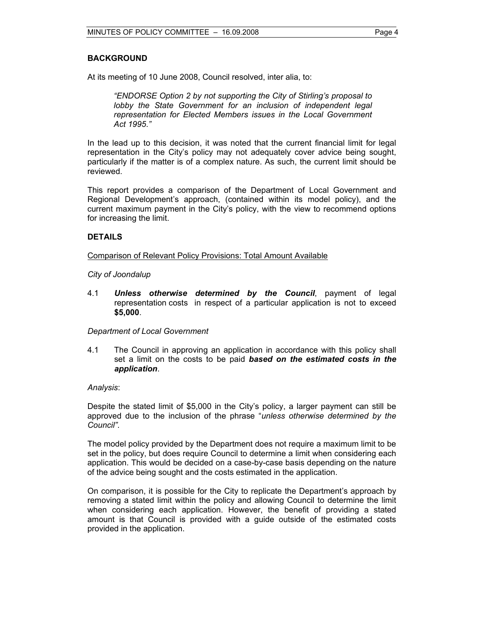# **BACKGROUND**

At its meeting of 10 June 2008, Council resolved, inter alia, to:

*"ENDORSE Option 2 by not supporting the City of Stirling's proposal to lobby the State Government for an inclusion of independent legal representation for Elected Members issues in the Local Government Act 1995*.*"* 

In the lead up to this decision, it was noted that the current financial limit for legal representation in the City's policy may not adequately cover advice being sought, particularly if the matter is of a complex nature. As such, the current limit should be reviewed.

This report provides a comparison of the Department of Local Government and Regional Development's approach, (contained within its model policy), and the current maximum payment in the City's policy, with the view to recommend options for increasing the limit.

# **DETAILS**

#### Comparison of Relevant Policy Provisions: Total Amount Available

#### *City of Joondalup*

4.1 *Unless otherwise determined by the Council*, payment of legal representation costs in respect of a particular application is not to exceed **\$5,000**.

*Department of Local Government* 

4.1 The Council in approving an application in accordance with this policy shall set a limit on the costs to be paid *based on the estimated costs in the application*.

#### *Analysis*:

Despite the stated limit of \$5,000 in the City's policy, a larger payment can still be approved due to the inclusion of the phrase "*unless otherwise determined by the Council"*.

The model policy provided by the Department does not require a maximum limit to be set in the policy, but does require Council to determine a limit when considering each application. This would be decided on a case-by-case basis depending on the nature of the advice being sought and the costs estimated in the application.

On comparison, it is possible for the City to replicate the Department's approach by removing a stated limit within the policy and allowing Council to determine the limit when considering each application. However, the benefit of providing a stated amount is that Council is provided with a guide outside of the estimated costs provided in the application.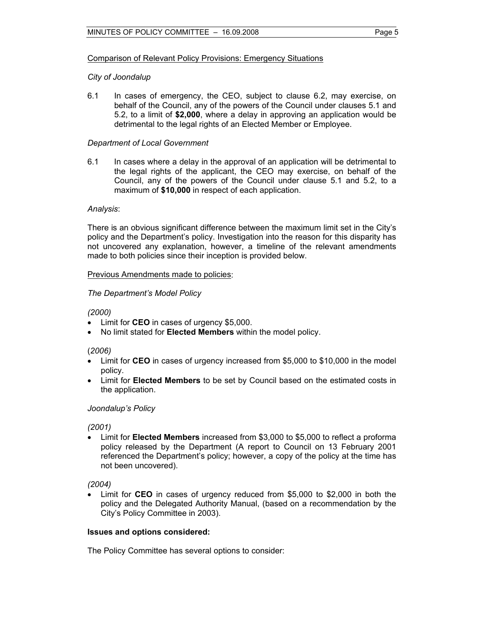# Comparison of Relevant Policy Provisions: Emergency Situations

# *City of Joondalup*

6.1 In cases of emergency, the CEO, subject to clause 6.2, may exercise, on behalf of the Council, any of the powers of the Council under clauses 5.1 and 5.2, to a limit of **\$2,000**, where a delay in approving an application would be detrimental to the legal rights of an Elected Member or Employee.

# *Department of Local Government*

6.1 In cases where a delay in the approval of an application will be detrimental to the legal rights of the applicant, the CEO may exercise, on behalf of the Council, any of the powers of the Council under clause 5.1 and 5.2, to a maximum of **\$10,000** in respect of each application.

# *Analysis*:

There is an obvious significant difference between the maximum limit set in the City's policy and the Department's policy. Investigation into the reason for this disparity has not uncovered any explanation, however, a timeline of the relevant amendments made to both policies since their inception is provided below.

# Previous Amendments made to policies:

# *The Department's Model Policy*

## *(2000)*

- Limit for **CEO** in cases of urgency \$5,000.
- No limit stated for **Elected Members** within the model policy.

# (*2006)*

- Limit for **CEO** in cases of urgency increased from \$5,000 to \$10,000 in the model policy.
- Limit for **Elected Members** to be set by Council based on the estimated costs in the application.

# *Joondalup's Policy*

*(2001)*

Limit for **Elected Members** increased from \$3,000 to \$5,000 to reflect a proforma policy released by the Department (A report to Council on 13 February 2001 referenced the Department's policy; however, a copy of the policy at the time has not been uncovered).

*(2004)* 

• Limit for **CEO** in cases of urgency reduced from \$5,000 to \$2,000 in both the policy and the Delegated Authority Manual, (based on a recommendation by the City's Policy Committee in 2003).

#### **Issues and options considered:**

The Policy Committee has several options to consider: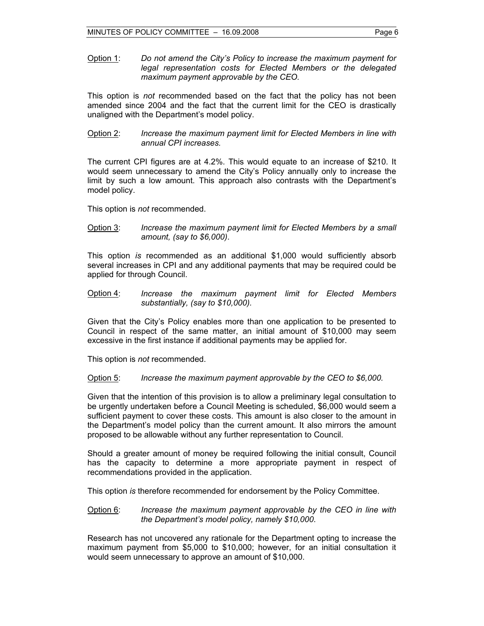Option 1: *Do not amend the City's Policy to increase the maximum payment for legal representation costs for Elected Members or the delegated maximum payment approvable by the CEO.*

This option is *not* recommended based on the fact that the policy has not been amended since 2004 and the fact that the current limit for the CEO is drastically unaligned with the Department's model policy.

Option 2: *Increase the maximum payment limit for Elected Members in line with annual CPI increases.* 

The current CPI figures are at 4.2%. This would equate to an increase of \$210. It would seem unnecessary to amend the City's Policy annually only to increase the limit by such a low amount. This approach also contrasts with the Department's model policy.

This option is *not* recommended.

Option 3: *Increase the maximum payment limit for Elected Members by a small amount, (say to \$6,000)*.

This option *is* recommended as an additional \$1,000 would sufficiently absorb several increases in CPI and any additional payments that may be required could be applied for through Council.

Option 4: *Increase the maximum payment limit for Elected Members substantially, (say to \$10,000).*

Given that the City's Policy enables more than one application to be presented to Council in respect of the same matter, an initial amount of \$10,000 may seem excessive in the first instance if additional payments may be applied for.

This option is *not* recommended.

#### Option 5: *Increase the maximum payment approvable by the CEO to \$6,000.*

Given that the intention of this provision is to allow a preliminary legal consultation to be urgently undertaken before a Council Meeting is scheduled, \$6,000 would seem a sufficient payment to cover these costs. This amount is also closer to the amount in the Department's model policy than the current amount. It also mirrors the amount proposed to be allowable without any further representation to Council.

Should a greater amount of money be required following the initial consult, Council has the capacity to determine a more appropriate payment in respect of recommendations provided in the application.

This option *is* therefore recommended for endorsement by the Policy Committee.

# Option 6: *Increase the maximum payment approvable by the CEO in line with the Department's model policy, namely \$10,000*.

Research has not uncovered any rationale for the Department opting to increase the maximum payment from \$5,000 to \$10,000; however, for an initial consultation it would seem unnecessary to approve an amount of \$10,000.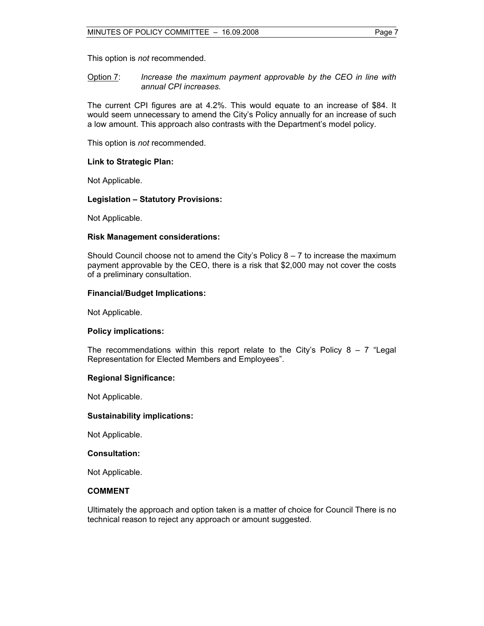This option is *not* recommended.

#### Option 7: *Increase the maximum payment approvable by the CEO in line with annual CPI increases.*

The current CPI figures are at 4.2%. This would equate to an increase of \$84. It would seem unnecessary to amend the City's Policy annually for an increase of such a low amount. This approach also contrasts with the Department's model policy.

This option is *not* recommended.

# **Link to Strategic Plan:**

Not Applicable.

# **Legislation – Statutory Provisions:**

Not Applicable.

# **Risk Management considerations:**

Should Council choose not to amend the City's Policy  $8 - 7$  to increase the maximum payment approvable by the CEO, there is a risk that \$2,000 may not cover the costs of a preliminary consultation.

# **Financial/Budget Implications:**

Not Applicable.

#### **Policy implications:**

The recommendations within this report relate to the City's Policy  $8 - 7$  "Legal Representation for Elected Members and Employees".

#### **Regional Significance:**

Not Applicable.

#### **Sustainability implications:**

Not Applicable.

#### **Consultation:**

Not Applicable.

# **COMMENT**

Ultimately the approach and option taken is a matter of choice for Council There is no technical reason to reject any approach or amount suggested.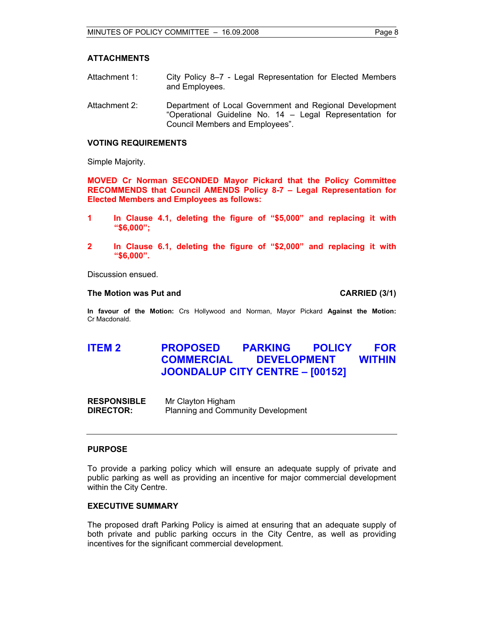# **ATTACHMENTS**

- Attachment 1: City Policy 8–7 Legal Representation for Elected Members and Employees.
- Attachment 2: Department of Local Government and Regional Development "Operational Guideline No. 14 – Legal Representation for Council Members and Employees".

## **VOTING REQUIREMENTS**

Simple Majority.

**MOVED Cr Norman SECONDED Mayor Pickard that the Policy Committee RECOMMENDS that Council AMENDS Policy 8-7 – Legal Representation for Elected Members and Employees as follows:** 

- **1 In Clause 4.1, deleting the figure of "\$5,000" and replacing it with "\$6,000";**
- **2 In Clause 6.1, deleting the figure of "\$2,000" and replacing it with "\$6,000".**

Discussion ensued.

#### **The Motion was Put and CARRIED (3/1)**

**In favour of the Motion:** Crs Hollywood and Norman, Mayor Pickard **Against the Motion:**  Cr Macdonald.

# **ITEM 2 PROPOSED PARKING POLICY FOR COMMERCIAL DEVELOPMENT WITHIN JOONDALUP CITY CENTRE – [00152]**

**RESPONSIBLE** Mr Clayton Higham **DIRECTOR:** Planning and Community Development

#### **PURPOSE**

To provide a parking policy which will ensure an adequate supply of private and public parking as well as providing an incentive for major commercial development within the City Centre.

# **EXECUTIVE SUMMARY**

The proposed draft Parking Policy is aimed at ensuring that an adequate supply of both private and public parking occurs in the City Centre, as well as providing incentives for the significant commercial development.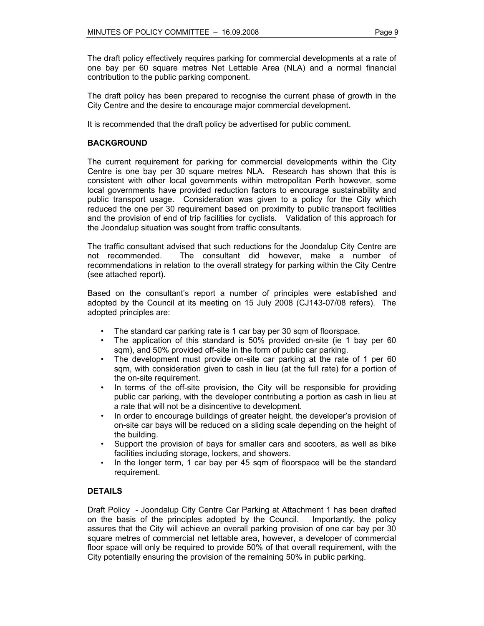The draft policy effectively requires parking for commercial developments at a rate of one bay per 60 square metres Net Lettable Area (NLA) and a normal financial contribution to the public parking component.

The draft policy has been prepared to recognise the current phase of growth in the City Centre and the desire to encourage major commercial development.

It is recommended that the draft policy be advertised for public comment.

# **BACKGROUND**

The current requirement for parking for commercial developments within the City Centre is one bay per 30 square metres NLA. Research has shown that this is consistent with other local governments within metropolitan Perth however, some local governments have provided reduction factors to encourage sustainability and public transport usage. Consideration was given to a policy for the City which reduced the one per 30 requirement based on proximity to public transport facilities and the provision of end of trip facilities for cyclists. Validation of this approach for the Joondalup situation was sought from traffic consultants.

The traffic consultant advised that such reductions for the Joondalup City Centre are not recommended. The consultant did however, make a number of recommendations in relation to the overall strategy for parking within the City Centre (see attached report).

Based on the consultant's report a number of principles were established and adopted by the Council at its meeting on 15 July 2008 (CJ143-07/08 refers). The adopted principles are:

- The standard car parking rate is 1 car bay per 30 sqm of floorspace.
- The application of this standard is 50% provided on-site (ie 1 bay per 60 sqm), and 50% provided off-site in the form of public car parking.
- The development must provide on-site car parking at the rate of 1 per 60 sqm, with consideration given to cash in lieu (at the full rate) for a portion of the on-site requirement.
- In terms of the off-site provision, the City will be responsible for providing public car parking, with the developer contributing a portion as cash in lieu at a rate that will not be a disincentive to development.
- In order to encourage buildings of greater height, the developer's provision of on-site car bays will be reduced on a sliding scale depending on the height of the building.
- Support the provision of bays for smaller cars and scooters, as well as bike facilities including storage, lockers, and showers.
- In the longer term, 1 car bay per 45 sqm of floorspace will be the standard requirement.

# **DETAILS**

Draft Policy - Joondalup City Centre Car Parking at Attachment 1 has been drafted on the basis of the principles adopted by the Council. Importantly, the policy assures that the City will achieve an overall parking provision of one car bay per 30 square metres of commercial net lettable area, however, a developer of commercial floor space will only be required to provide 50% of that overall requirement, with the City potentially ensuring the provision of the remaining 50% in public parking.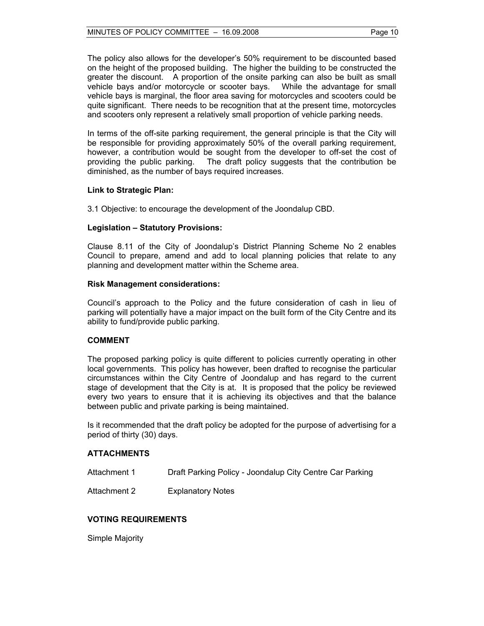#### MINUTES OF POLICY COMMITTEE - 16.09.2008 Page 10

The policy also allows for the developer's 50% requirement to be discounted based on the height of the proposed building. The higher the building to be constructed the greater the discount. A proportion of the onsite parking can also be built as small vehicle bays and/or motorcycle or scooter bays. While the advantage for small vehicle bays is marginal, the floor area saving for motorcycles and scooters could be quite significant. There needs to be recognition that at the present time, motorcycles and scooters only represent a relatively small proportion of vehicle parking needs.

In terms of the off-site parking requirement, the general principle is that the City will be responsible for providing approximately 50% of the overall parking requirement, however, a contribution would be sought from the developer to off-set the cost of providing the public parking. The draft policy suggests that the contribution be diminished, as the number of bays required increases.

# **Link to Strategic Plan:**

3.1 Objective: to encourage the development of the Joondalup CBD.

# **Legislation – Statutory Provisions:**

Clause 8.11 of the City of Joondalup's District Planning Scheme No 2 enables Council to prepare, amend and add to local planning policies that relate to any planning and development matter within the Scheme area.

#### **Risk Management considerations:**

Council's approach to the Policy and the future consideration of cash in lieu of parking will potentially have a major impact on the built form of the City Centre and its ability to fund/provide public parking.

#### **COMMENT**

The proposed parking policy is quite different to policies currently operating in other local governments. This policy has however, been drafted to recognise the particular circumstances within the City Centre of Joondalup and has regard to the current stage of development that the City is at. It is proposed that the policy be reviewed every two years to ensure that it is achieving its objectives and that the balance between public and private parking is being maintained.

Is it recommended that the draft policy be adopted for the purpose of advertising for a period of thirty (30) days.

# **ATTACHMENTS**

| Attachment 1 | Draft Parking Policy - Joondalup City Centre Car Parking |
|--------------|----------------------------------------------------------|
|--------------|----------------------------------------------------------|

Attachment 2 Explanatory Notes

# **VOTING REQUIREMENTS**

Simple Majority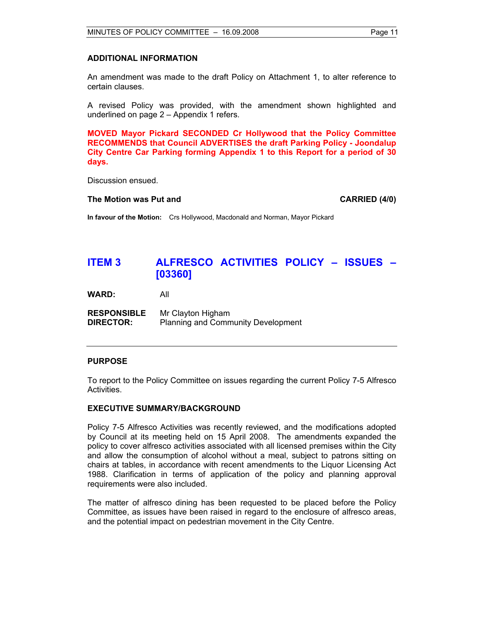## **ADDITIONAL INFORMATION**

An amendment was made to the draft Policy on Attachment 1, to alter reference to certain clauses.

A revised Policy was provided, with the amendment shown highlighted and underlined on page 2 – Appendix 1 refers.

**MOVED Mayor Pickard SECONDED Cr Hollywood that the Policy Committee RECOMMENDS that Council ADVERTISES the draft Parking Policy - Joondalup City Centre Car Parking forming Appendix 1 to this Report for a period of 30 days.** 

Discussion ensued.

#### **The Motion was Put and CARRIED (4/0) CARRIED (4/0)**

**In favour of the Motion:** Crs Hollywood, Macdonald and Norman, Mayor Pickard

# **ITEM 3 ALFRESCO ACTIVITIES POLICY – ISSUES – [03360]**

**WARD:** All

| <b>RESPONSIBLE</b> | Mr Clayton Higham                         |
|--------------------|-------------------------------------------|
| <b>DIRECTOR:</b>   | <b>Planning and Community Development</b> |

#### **PURPOSE**

To report to the Policy Committee on issues regarding the current Policy 7-5 Alfresco Activities.

#### **EXECUTIVE SUMMARY/BACKGROUND**

Policy 7-5 Alfresco Activities was recently reviewed, and the modifications adopted by Council at its meeting held on 15 April 2008. The amendments expanded the policy to cover alfresco activities associated with all licensed premises within the City and allow the consumption of alcohol without a meal, subject to patrons sitting on chairs at tables, in accordance with recent amendments to the Liquor Licensing Act 1988. Clarification in terms of application of the policy and planning approval requirements were also included.

The matter of alfresco dining has been requested to be placed before the Policy Committee, as issues have been raised in regard to the enclosure of alfresco areas, and the potential impact on pedestrian movement in the City Centre.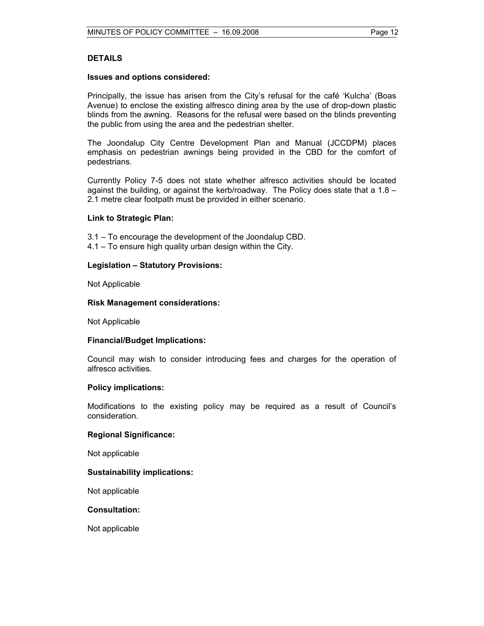# **DETAILS**

#### **Issues and options considered:**

Principally, the issue has arisen from the City's refusal for the café 'Kulcha' (Boas Avenue) to enclose the existing alfresco dining area by the use of drop-down plastic blinds from the awning. Reasons for the refusal were based on the blinds preventing the public from using the area and the pedestrian shelter.

The Joondalup City Centre Development Plan and Manual (JCCDPM) places emphasis on pedestrian awnings being provided in the CBD for the comfort of pedestrians.

Currently Policy 7-5 does not state whether alfresco activities should be located against the building, or against the kerb/roadway. The Policy does state that a 1.8 – 2.1 metre clear footpath must be provided in either scenario.

#### **Link to Strategic Plan:**

- 3.1 To encourage the development of the Joondalup CBD.
- 4.1 To ensure high quality urban design within the City.

# **Legislation – Statutory Provisions:**

Not Applicable

#### **Risk Management considerations:**

Not Applicable

#### **Financial/Budget Implications:**

Council may wish to consider introducing fees and charges for the operation of alfresco activities.

#### **Policy implications:**

Modifications to the existing policy may be required as a result of Council's consideration.

#### **Regional Significance:**

Not applicable

#### **Sustainability implications:**

Not applicable

#### **Consultation:**

Not applicable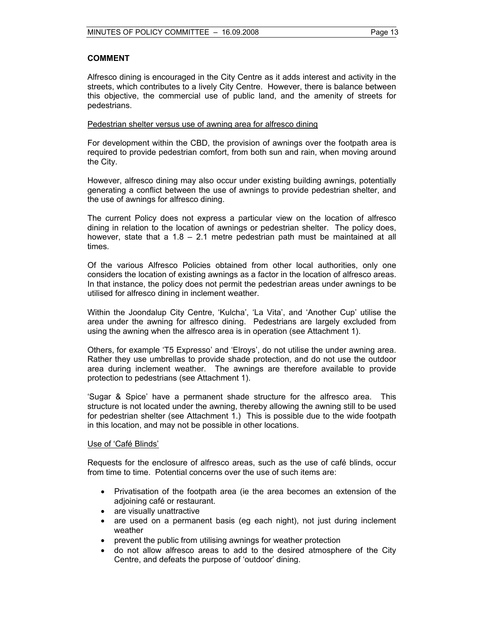# **COMMENT**

Alfresco dining is encouraged in the City Centre as it adds interest and activity in the streets, which contributes to a lively City Centre. However, there is balance between this objective, the commercial use of public land, and the amenity of streets for pedestrians.

# Pedestrian shelter versus use of awning area for alfresco dining

For development within the CBD, the provision of awnings over the footpath area is required to provide pedestrian comfort, from both sun and rain, when moving around the City.

However, alfresco dining may also occur under existing building awnings, potentially generating a conflict between the use of awnings to provide pedestrian shelter, and the use of awnings for alfresco dining.

The current Policy does not express a particular view on the location of alfresco dining in relation to the location of awnings or pedestrian shelter. The policy does, however, state that a 1.8 – 2.1 metre pedestrian path must be maintained at all times.

Of the various Alfresco Policies obtained from other local authorities, only one considers the location of existing awnings as a factor in the location of alfresco areas. In that instance, the policy does not permit the pedestrian areas under awnings to be utilised for alfresco dining in inclement weather.

Within the Joondalup City Centre, 'Kulcha', 'La Vita', and 'Another Cup' utilise the area under the awning for alfresco dining. Pedestrians are largely excluded from using the awning when the alfresco area is in operation (see Attachment 1).

Others, for example 'T5 Expresso' and 'Elroys', do not utilise the under awning area. Rather they use umbrellas to provide shade protection, and do not use the outdoor area during inclement weather. The awnings are therefore available to provide protection to pedestrians (see Attachment 1).

'Sugar & Spice' have a permanent shade structure for the alfresco area. This structure is not located under the awning, thereby allowing the awning still to be used for pedestrian shelter (see Attachment 1.) This is possible due to the wide footpath in this location, and may not be possible in other locations.

#### Use of 'Café Blinds'

Requests for the enclosure of alfresco areas, such as the use of café blinds, occur from time to time. Potential concerns over the use of such items are:

- Privatisation of the footpath area (ie the area becomes an extension of the adjoining café or restaurant.
- are visually unattractive
- are used on a permanent basis (eg each night), not just during inclement weather
- prevent the public from utilising awnings for weather protection
- do not allow alfresco areas to add to the desired atmosphere of the City Centre, and defeats the purpose of 'outdoor' dining.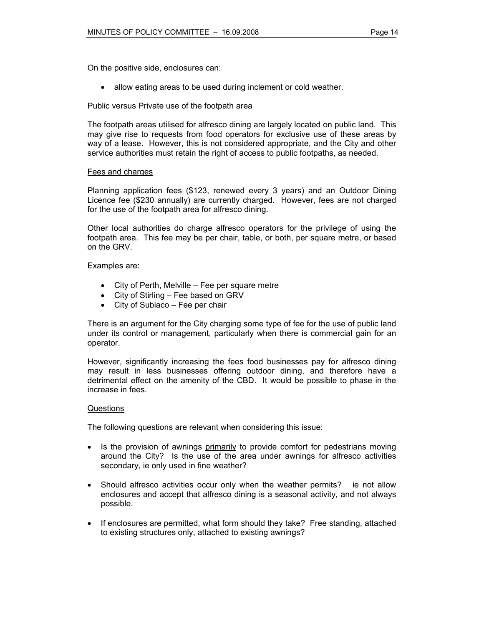On the positive side, enclosures can:

• allow eating areas to be used during inclement or cold weather.

#### Public versus Private use of the footpath area

The footpath areas utilised for alfresco dining are largely located on public land. This may give rise to requests from food operators for exclusive use of these areas by way of a lease. However, this is not considered appropriate, and the City and other service authorities must retain the right of access to public footpaths, as needed.

#### Fees and charges

Planning application fees (\$123, renewed every 3 years) and an Outdoor Dining Licence fee (\$230 annually) are currently charged. However, fees are not charged for the use of the footpath area for alfresco dining.

Other local authorities do charge alfresco operators for the privilege of using the footpath area. This fee may be per chair, table, or both, per square metre, or based on the GRV.

Examples are:

- City of Perth, Melville Fee per square metre
- City of Stirling Fee based on GRV
- City of Subiaco Fee per chair

There is an argument for the City charging some type of fee for the use of public land under its control or management, particularly when there is commercial gain for an operator.

However, significantly increasing the fees food businesses pay for alfresco dining may result in less businesses offering outdoor dining, and therefore have a detrimental effect on the amenity of the CBD. It would be possible to phase in the increase in fees.

#### Questions

The following questions are relevant when considering this issue:

- Is the provision of awnings primarily to provide comfort for pedestrians moving around the City? Is the use of the area under awnings for alfresco activities secondary, ie only used in fine weather?
- Should alfresco activities occur only when the weather permits? ie not allow enclosures and accept that alfresco dining is a seasonal activity, and not always possible.
- If enclosures are permitted, what form should they take? Free standing, attached to existing structures only, attached to existing awnings?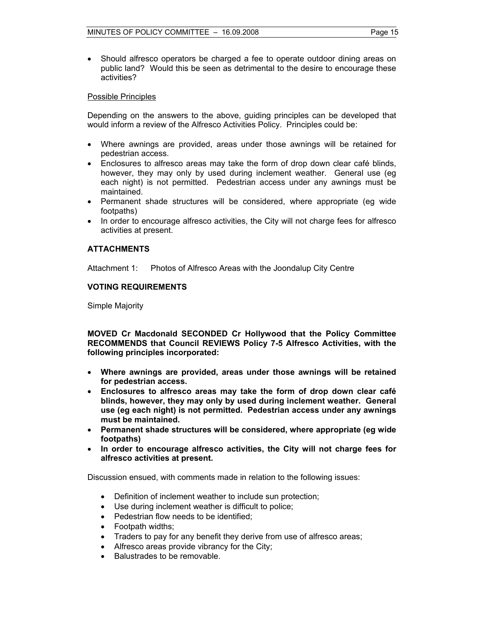• Should alfresco operators be charged a fee to operate outdoor dining areas on public land? Would this be seen as detrimental to the desire to encourage these activities?

## Possible Principles

Depending on the answers to the above, guiding principles can be developed that would inform a review of the Alfresco Activities Policy. Principles could be:

- Where awnings are provided, areas under those awnings will be retained for pedestrian access.
- Enclosures to alfresco areas may take the form of drop down clear café blinds, however, they may only by used during inclement weather. General use (eg each night) is not permitted. Pedestrian access under any awnings must be maintained.
- Permanent shade structures will be considered, where appropriate (eg wide footpaths)
- In order to encourage alfresco activities, the City will not charge fees for alfresco activities at present.

# **ATTACHMENTS**

Attachment 1: Photos of Alfresco Areas with the Joondalup City Centre

# **VOTING REQUIREMENTS**

Simple Majority

**MOVED Cr Macdonald SECONDED Cr Hollywood that the Policy Committee RECOMMENDS that Council REVIEWS Policy 7-5 Alfresco Activities, with the following principles incorporated:** 

- **Where awnings are provided, areas under those awnings will be retained for pedestrian access.**
- **Enclosures to alfresco areas may take the form of drop down clear café blinds, however, they may only by used during inclement weather. General use (eg each night) is not permitted. Pedestrian access under any awnings must be maintained.**
- **Permanent shade structures will be considered, where appropriate (eg wide footpaths)**
- **In order to encourage alfresco activities, the City will not charge fees for alfresco activities at present.**

Discussion ensued, with comments made in relation to the following issues:

- Definition of inclement weather to include sun protection;
- Use during inclement weather is difficult to police;
- Pedestrian flow needs to be identified;
- Footpath widths;
- Traders to pay for any benefit they derive from use of alfresco areas;
- Alfresco areas provide vibrancy for the City;
- Balustrades to be removable.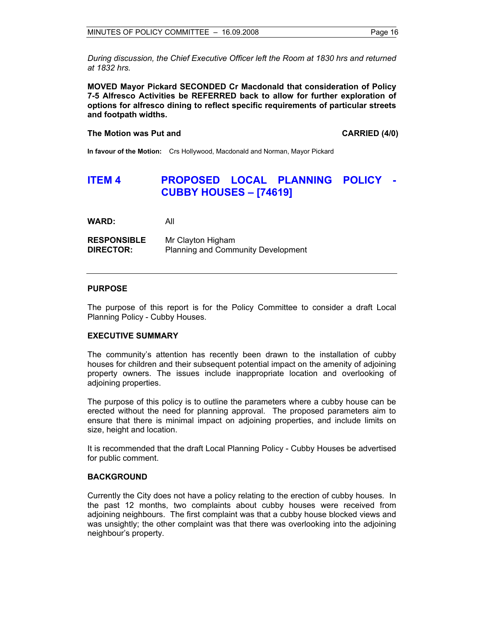*During discussion, the Chief Executive Officer left the Room at 1830 hrs and returned at 1832 hrs.* 

**MOVED Mayor Pickard SECONDED Cr Macdonald that consideration of Policy 7-5 Alfresco Activities be REFERRED back to allow for further exploration of options for alfresco dining to reflect specific requirements of particular streets and footpath widths.** 

#### **The Motion was Put and CARRIED (4/0) CARRIED (4/0)**

**In favour of the Motion:** Crs Hollywood, Macdonald and Norman, Mayor Pickard

# **ITEM 4 PROPOSED LOCAL PLANNING POLICY - CUBBY HOUSES – [74619]**

**WARD:** All

**RESPONSIBLE** Mr Clayton Higham **DIRECTOR:** Planning and Community Development

# **PURPOSE**

The purpose of this report is for the Policy Committee to consider a draft Local Planning Policy - Cubby Houses.

#### **EXECUTIVE SUMMARY**

The community's attention has recently been drawn to the installation of cubby houses for children and their subsequent potential impact on the amenity of adjoining property owners. The issues include inappropriate location and overlooking of adjoining properties.

The purpose of this policy is to outline the parameters where a cubby house can be erected without the need for planning approval. The proposed parameters aim to ensure that there is minimal impact on adjoining properties, and include limits on size, height and location.

It is recommended that the draft Local Planning Policy - Cubby Houses be advertised for public comment.

#### **BACKGROUND**

Currently the City does not have a policy relating to the erection of cubby houses. In the past 12 months, two complaints about cubby houses were received from adjoining neighbours. The first complaint was that a cubby house blocked views and was unsightly; the other complaint was that there was overlooking into the adjoining neighbour's property.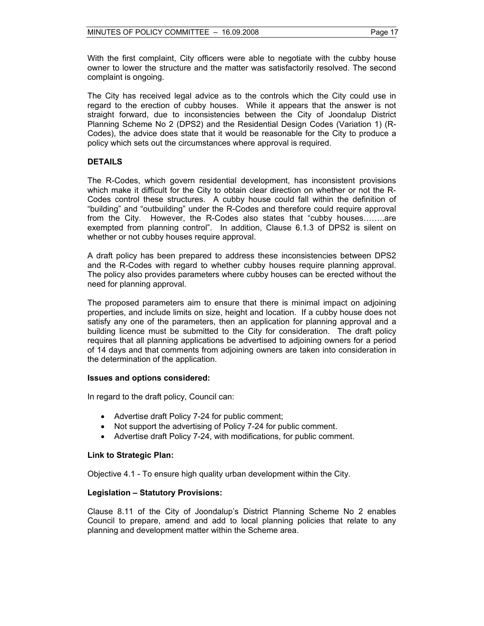With the first complaint, City officers were able to negotiate with the cubby house owner to lower the structure and the matter was satisfactorily resolved. The second complaint is ongoing.

The City has received legal advice as to the controls which the City could use in regard to the erection of cubby houses. While it appears that the answer is not straight forward, due to inconsistencies between the City of Joondalup District Planning Scheme No 2 (DPS2) and the Residential Design Codes (Variation 1) (R-Codes), the advice does state that it would be reasonable for the City to produce a policy which sets out the circumstances where approval is required.

# **DETAILS**

The R-Codes, which govern residential development, has inconsistent provisions which make it difficult for the City to obtain clear direction on whether or not the R-Codes control these structures. A cubby house could fall within the definition of "building" and "outbuilding" under the R-Codes and therefore could require approval from the City. However, the R-Codes also states that "cubby houses……..are exempted from planning control". In addition, Clause 6.1.3 of DPS2 is silent on whether or not cubby houses require approval.

A draft policy has been prepared to address these inconsistencies between DPS2 and the R-Codes with regard to whether cubby houses require planning approval. The policy also provides parameters where cubby houses can be erected without the need for planning approval.

The proposed parameters aim to ensure that there is minimal impact on adjoining properties, and include limits on size, height and location. If a cubby house does not satisfy any one of the parameters, then an application for planning approval and a building licence must be submitted to the City for consideration. The draft policy requires that all planning applications be advertised to adjoining owners for a period of 14 days and that comments from adjoining owners are taken into consideration in the determination of the application.

# **Issues and options considered:**

In regard to the draft policy, Council can:

- Advertise draft Policy 7-24 for public comment;
- Not support the advertising of Policy 7-24 for public comment.
- Advertise draft Policy 7-24, with modifications, for public comment.

# **Link to Strategic Plan:**

Objective 4.1 - To ensure high quality urban development within the City.

# **Legislation – Statutory Provisions:**

Clause 8.11 of the City of Joondalup's District Planning Scheme No 2 enables Council to prepare, amend and add to local planning policies that relate to any planning and development matter within the Scheme area.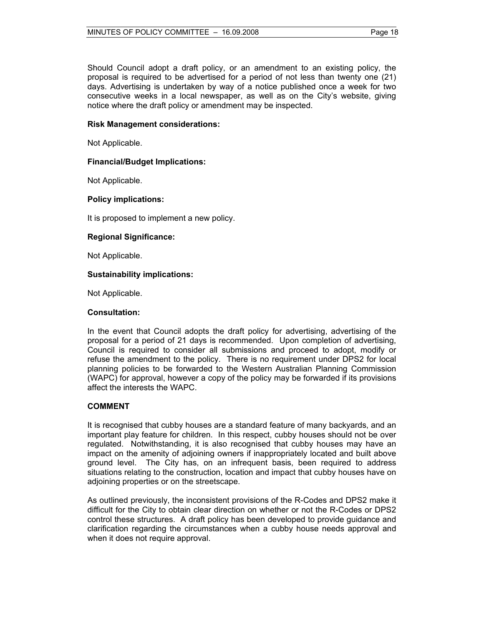Should Council adopt a draft policy, or an amendment to an existing policy, the proposal is required to be advertised for a period of not less than twenty one (21) days. Advertising is undertaken by way of a notice published once a week for two consecutive weeks in a local newspaper, as well as on the City's website, giving notice where the draft policy or amendment may be inspected.

# **Risk Management considerations:**

Not Applicable.

# **Financial/Budget Implications:**

Not Applicable.

# **Policy implications:**

It is proposed to implement a new policy.

# **Regional Significance:**

Not Applicable.

# **Sustainability implications:**

Not Applicable.

# **Consultation:**

In the event that Council adopts the draft policy for advertising, advertising of the proposal for a period of 21 days is recommended. Upon completion of advertising, Council is required to consider all submissions and proceed to adopt, modify or refuse the amendment to the policy. There is no requirement under DPS2 for local planning policies to be forwarded to the Western Australian Planning Commission (WAPC) for approval, however a copy of the policy may be forwarded if its provisions affect the interests the WAPC.

# **COMMENT**

It is recognised that cubby houses are a standard feature of many backyards, and an important play feature for children. In this respect, cubby houses should not be over regulated. Notwithstanding, it is also recognised that cubby houses may have an impact on the amenity of adjoining owners if inappropriately located and built above ground level. The City has, on an infrequent basis, been required to address situations relating to the construction, location and impact that cubby houses have on adjoining properties or on the streetscape.

As outlined previously, the inconsistent provisions of the R-Codes and DPS2 make it difficult for the City to obtain clear direction on whether or not the R-Codes or DPS2 control these structures. A draft policy has been developed to provide guidance and clarification regarding the circumstances when a cubby house needs approval and when it does not require approval.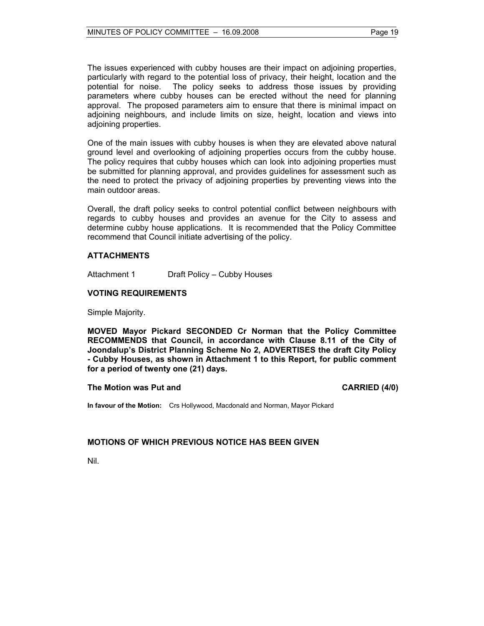The issues experienced with cubby houses are their impact on adjoining properties, particularly with regard to the potential loss of privacy, their height, location and the potential for noise. The policy seeks to address those issues by providing parameters where cubby houses can be erected without the need for planning approval. The proposed parameters aim to ensure that there is minimal impact on adjoining neighbours, and include limits on size, height, location and views into adjoining properties.

One of the main issues with cubby houses is when they are elevated above natural ground level and overlooking of adjoining properties occurs from the cubby house. The policy requires that cubby houses which can look into adjoining properties must be submitted for planning approval, and provides guidelines for assessment such as the need to protect the privacy of adjoining properties by preventing views into the main outdoor areas.

Overall, the draft policy seeks to control potential conflict between neighbours with regards to cubby houses and provides an avenue for the City to assess and determine cubby house applications. It is recommended that the Policy Committee recommend that Council initiate advertising of the policy.

# **ATTACHMENTS**

Attachment 1 Draft Policy – Cubby Houses

# **VOTING REQUIREMENTS**

Simple Majority.

**MOVED Mayor Pickard SECONDED Cr Norman that the Policy Committee RECOMMENDS that Council, in accordance with Clause 8.11 of the City of Joondalup's District Planning Scheme No 2, ADVERTISES the draft City Policy - Cubby Houses, as shown in Attachment 1 to this Report, for public comment for a period of twenty one (21) days.** 

#### **The Motion was Put and CARRIED (4/0) CARRIED (4/0)**

**In favour of the Motion:** Crs Hollywood, Macdonald and Norman, Mayor Pickard

#### **MOTIONS OF WHICH PREVIOUS NOTICE HAS BEEN GIVEN**

Nil.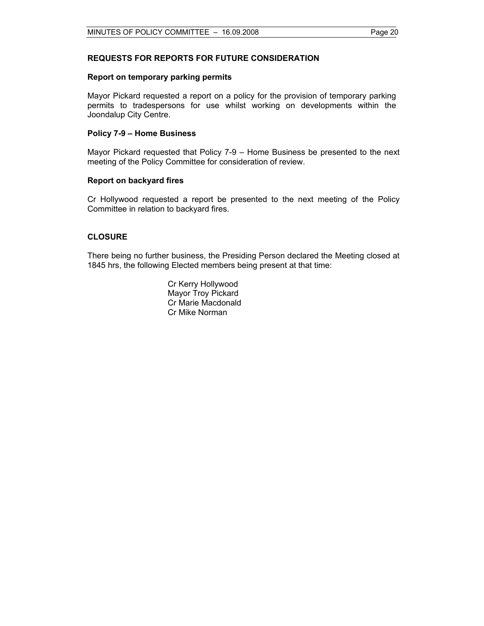# **REQUESTS FOR REPORTS FOR FUTURE CONSIDERATION**

#### **Report on temporary parking permits**

Mayor Pickard requested a report on a policy for the provision of temporary parking permits to tradespersons for use whilst working on developments within the Joondalup City Centre.

#### **Policy 7-9 – Home Business**

Mayor Pickard requested that Policy 7-9 – Home Business be presented to the next meeting of the Policy Committee for consideration of review.

#### **Report on backyard fires**

Cr Hollywood requested a report be presented to the next meeting of the Policy Committee in relation to backyard fires.

#### **CLOSURE**

There being no further business, the Presiding Person declared the Meeting closed at 1845 hrs, the following Elected members being present at that time:

> Cr Kerry Hollywood Mayor Troy Pickard Cr Marie Macdonald Cr Mike Norman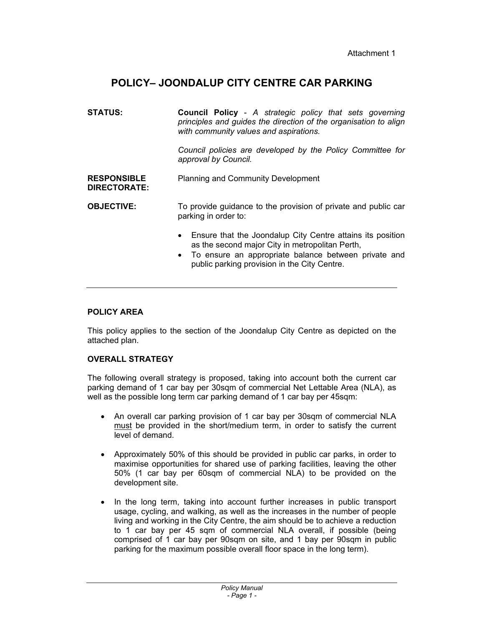# **POLICY– JOONDALUP CITY CENTRE CAR PARKING**

| <b>STATUS:</b>                            | <b>Council Policy</b> - A strategic policy that sets governing<br>principles and guides the direction of the organisation to align<br>with community values and aspirations.                                                         |  |
|-------------------------------------------|--------------------------------------------------------------------------------------------------------------------------------------------------------------------------------------------------------------------------------------|--|
|                                           | Council policies are developed by the Policy Committee for<br>approval by Council.                                                                                                                                                   |  |
| <b>RESPONSIBLE</b><br><b>DIRECTORATE:</b> | <b>Planning and Community Development</b>                                                                                                                                                                                            |  |
| <b>OBJECTIVE:</b>                         | To provide guidance to the provision of private and public car<br>parking in order to:                                                                                                                                               |  |
|                                           | Ensure that the Joondalup City Centre attains its position<br>$\bullet$<br>as the second major City in metropolitan Perth,<br>• To ensure an appropriate balance between private and<br>public parking provision in the City Centre. |  |
|                                           |                                                                                                                                                                                                                                      |  |

# **POLICY AREA**

This policy applies to the section of the Joondalup City Centre as depicted on the attached plan.

# **OVERALL STRATEGY**

The following overall strategy is proposed, taking into account both the current car parking demand of 1 car bay per 30sqm of commercial Net Lettable Area (NLA), as well as the possible long term car parking demand of 1 car bay per 45sqm:

- An overall car parking provision of 1 car bay per 30sqm of commercial NLA must be provided in the short/medium term, in order to satisfy the current level of demand.
- Approximately 50% of this should be provided in public car parks, in order to maximise opportunities for shared use of parking facilities, leaving the other 50% (1 car bay per 60sqm of commercial NLA) to be provided on the development site.
- In the long term, taking into account further increases in public transport usage, cycling, and walking, as well as the increases in the number of people living and working in the City Centre, the aim should be to achieve a reduction to 1 car bay per 45 sqm of commercial NLA overall, if possible (being comprised of 1 car bay per 90sqm on site, and 1 bay per 90sqm in public parking for the maximum possible overall floor space in the long term).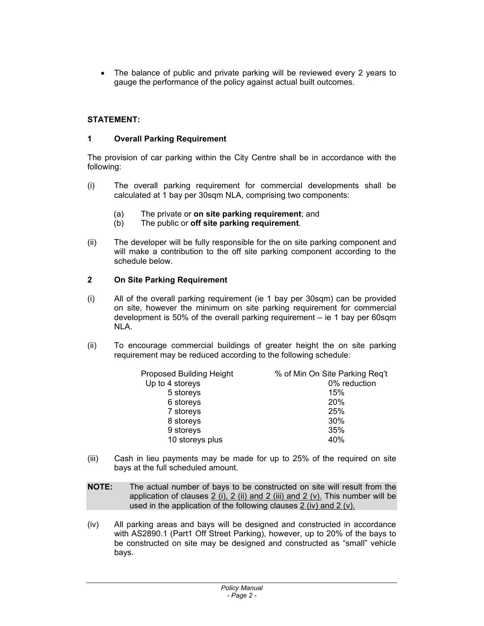• The balance of public and private parking will be reviewed every 2 years to gauge the performance of the policy against actual built outcomes.

# **STATEMENT:**

# **1 Overall Parking Requirement**

The provision of car parking within the City Centre shall be in accordance with the following:

- (i) The overall parking requirement for commercial developments shall be calculated at 1 bay per 30sqm NLA, comprising two components:
	- (a) The private or **on site parking requirement**; and
	- (b) The public or **off site parking requirement**.
- (ii) The developer will be fully responsible for the on site parking component and will make a contribution to the off site parking component according to the schedule below.

# **2 On Site Parking Requirement**

- (i) All of the overall parking requirement (ie 1 bay per 30sqm) can be provided on site, however the minimum on site parking requirement for commercial development is 50% of the overall parking requirement – ie 1 bay per 60sqm NLA.
- (ii) To encourage commercial buildings of greater height the on site parking requirement may be reduced according to the following schedule:

| <b>Proposed Building Height</b> | % of Min On Site Parking Req't |
|---------------------------------|--------------------------------|
| Up to 4 storeys                 | 0% reduction                   |
| 5 storeys                       | 15%                            |
| 6 storeys                       | 20%                            |
| 7 storeys                       | 25%                            |
| 8 storeys                       | 30%                            |
| 9 storeys                       | 35%                            |
| 10 storeys plus                 | 40%                            |
|                                 |                                |

- (iii) Cash in lieu payments may be made for up to 25% of the required on site bays at the full scheduled amount.
- **NOTE:** The actual number of bays to be constructed on site will result from the application of clauses 2 (i), 2 (ii) and 2 (iii) and 2 (v). This number will be used in the application of the following clauses 2 (iv) and 2 (v).
- (iv) All parking areas and bays will be designed and constructed in accordance with AS2890.1 (Part1 Off Street Parking), however, up to 20% of the bays to be constructed on site may be designed and constructed as "small" vehicle bays.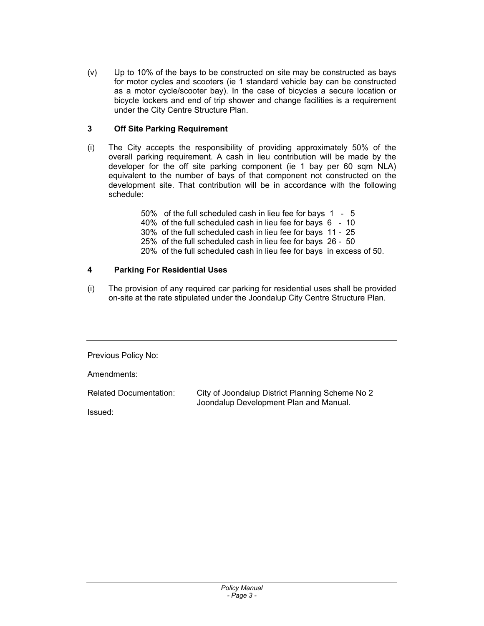(v) Up to 10% of the bays to be constructed on site may be constructed as bays for motor cycles and scooters (ie 1 standard vehicle bay can be constructed as a motor cycle/scooter bay). In the case of bicycles a secure location or bicycle lockers and end of trip shower and change facilities is a requirement under the City Centre Structure Plan.

# **3 Off Site Parking Requirement**

(i) The City accepts the responsibility of providing approximately 50% of the overall parking requirement. A cash in lieu contribution will be made by the developer for the off site parking component (ie 1 bay per 60 sqm NLA) equivalent to the number of bays of that component not constructed on the development site. That contribution will be in accordance with the following schedule:

> 50% of the full scheduled cash in lieu fee for bays 1 - 5 40% of the full scheduled cash in lieu fee for bays 6 - 10 30% of the full scheduled cash in lieu fee for bays 11 - 25 25% of the full scheduled cash in lieu fee for bays 26 - 50 20% of the full scheduled cash in lieu fee for bays in excess of 50.

# **4 Parking For Residential Uses**

(i) The provision of any required car parking for residential uses shall be provided on-site at the rate stipulated under the Joondalup City Centre Structure Plan.

Previous Policy No:

Amendments:

Related Documentation: City of Joondalup District Planning Scheme No 2 Joondalup Development Plan and Manual.

Issued: